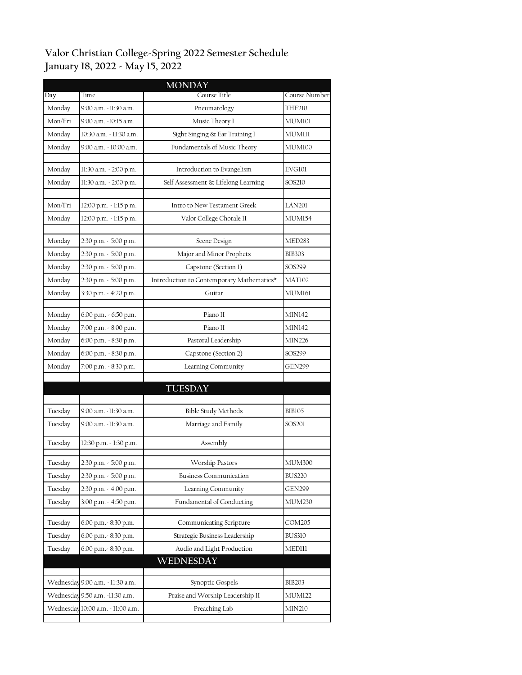## **Valor Christian College-Spring 2022 Semester Schedule January 18, 2022 - May 15, 2022**

|         |                                   | <b>MONDAY</b>                             |               |
|---------|-----------------------------------|-------------------------------------------|---------------|
| Day     | Time                              | Course Title                              | Course Number |
| Monday  | 9:00 a.m. -11:30 a.m.             | Pneumatology                              | THE210        |
| Mon/Fri | 9:00 a.m. -10:15 a.m.             | Music Theory I                            | MUM101        |
| Monday  | 10:30 a.m. - 11:30 a.m.           | Sight Singing & Ear Training I            | MUMIII        |
| Monday  | 9:00 a.m. - 10:00 a.m.            | Fundamentals of Music Theory              | MUM100        |
|         |                                   |                                           |               |
| Monday  | 11:30 a.m. - 2:00 p.m.            | Introduction to Evangelism                | EVG101        |
| Monday  | 11:30 a.m. - 2:00 p.m.            | Self Assessment & Lifelong Learning       | SOS210        |
| Mon/Fri | 12:00 p.m. - 1:15 p.m.            | Intro to New Testament Greek              | <b>LAN201</b> |
| Monday  | 12:00 p.m. - 1:15 p.m.            | Valor College Chorale II                  | <b>MUM154</b> |
|         |                                   |                                           |               |
| Monday  | 2:30 p.m. - 5:00 p.m.             | Scene Design                              | MED283        |
| Monday  | 2:30 p.m. - 5:00 p.m.             | Major and Minor Prophets                  | <b>BIB303</b> |
| Monday  | 2:30 p.m. - 5:00 p.m.             | Capstone (Section 1)                      | SOS299        |
| Monday  | 2:30 p.m. - 5:00 p.m.             | Introduction to Contemporary Mathematics* | MAT102        |
| Monday  | 3:30 p.m. - 4:20 p.m.             | Guitar                                    | MUM161        |
|         |                                   |                                           |               |
| Monday  | 6:00 p.m. - 6:50 p.m.             | Piano II                                  | <b>MIN142</b> |
| Monday  | 7:00 p.m. - 8:00 p.m.             | Piano II                                  | <b>MIN142</b> |
| Monday  | 6:00 p.m. - 8:30 p.m.             | Pastoral Leadership                       | MIN226        |
| Monday  | 6:00 p.m. - 8:30 p.m.             | Capstone (Section 2)                      | SOS299        |
| Monday  | 7:00 p.m. - 8:30 p.m.             | Learning Community                        | <b>GEN299</b> |
|         |                                   | <b>TUESDAY</b>                            |               |
|         |                                   |                                           |               |
| Tuesday | 9:00 a.m. -11:30 a.m.             | <b>Bible Study Methods</b>                | <b>BIB105</b> |
| Tuesday | 9:00 a.m. -11:30 a.m.             | Marriage and Family                       | SOS201        |
|         |                                   | Assembly                                  |               |
| Tuesday | 12:30 p.m. - 1:30 p.m.            |                                           |               |
| Tuesday | 2:30 p.m. - 5:00 p.m.             | Worship Pastors                           | MUM300        |
| Tuesday | 2:30 p.m. - 5:00 p.m.             | <b>Business Communication</b>             | <b>BUS220</b> |
| Tuesday | 2:30 p.m. - 4:00 p.m.             | Learning Community                        | GEN299        |
| Tuesday | 3:00 p.m. - 4:50 p.m.             | Fundamental of Conducting                 | <b>MUM230</b> |
| Tuesday | 6:00 p.m. - 8:30 p.m.             | Communicating Scripture                   | COM205        |
| Tuesday | 6:00 p.m. - 8:30 p.m.             | Strategic Business Leadership             | <b>BUS310</b> |
| Tuesday | 6:00 p.m. - 8:30 p.m.             | Audio and Light Production                | MEDIII        |
|         |                                   | WEDNESDAY                                 |               |
|         |                                   |                                           |               |
|         | Wednesday 9:00 a.m. - 11:30 a.m.  | Synoptic Gospels                          | <b>BIB203</b> |
|         | Wednesday 9:50 a.m. -11:30 a.m.   | Praise and Worship Leadership II          | <b>MUM122</b> |
|         | Wednesday 10:00 a.m. - 11:00 a.m. | Preaching Lab                             | <b>MIN210</b> |
|         |                                   |                                           |               |